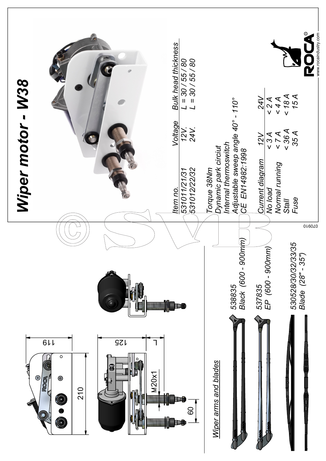